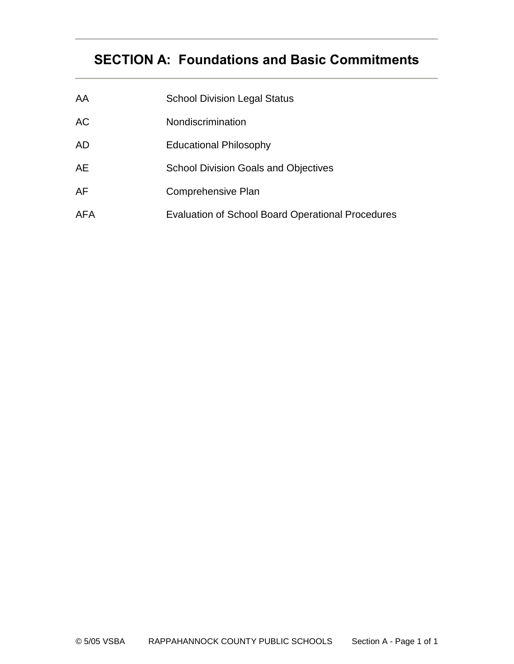# **SECTION A: Foundations and Basic Commitments**

| AA         | <b>School Division Legal Status</b>                      |
|------------|----------------------------------------------------------|
| AC         | Nondiscrimination                                        |
| AD         | <b>Educational Philosophy</b>                            |
| AE         | <b>School Division Goals and Objectives</b>              |
| AF         | Comprehensive Plan                                       |
| <b>AFA</b> | <b>Evaluation of School Board Operational Procedures</b> |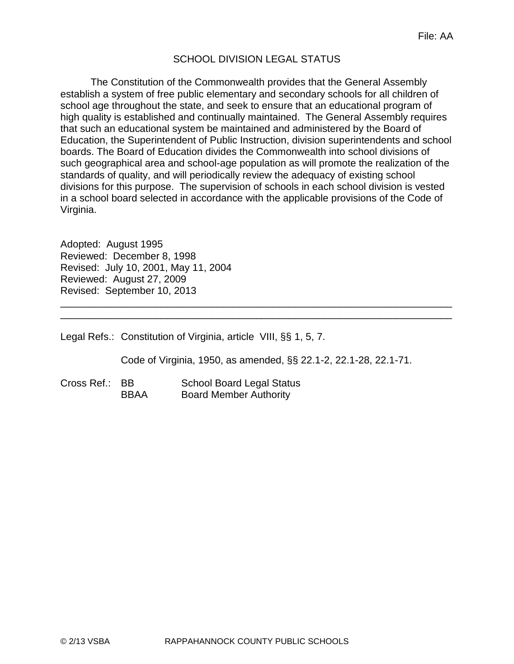# SCHOOL DIVISION LEGAL STATUS

The Constitution of the Commonwealth provides that the General Assembly establish a system of free public elementary and secondary schools for all children of school age throughout the state, and seek to ensure that an educational program of high quality is established and continually maintained. The General Assembly requires that such an educational system be maintained and administered by the Board of Education, the Superintendent of Public Instruction, division superintendents and school boards. The Board of Education divides the Commonwealth into school divisions of such geographical area and school-age population as will promote the realization of the standards of quality, and will periodically review the adequacy of existing school divisions for this purpose. The supervision of schools in each school division is vested in a school board selected in accordance with the applicable provisions of the Code of Virginia.

Adopted: August 1995 Reviewed: December 8, 1998 Revised: July 10, 2001, May 11, 2004 Reviewed: August 27, 2009 Revised: September 10, 2013

Legal Refs.: Constitution of Virginia, article VIII, §§ 1, 5, 7.

Code of Virginia, 1950, as amended, §§ 22.1-2, 22.1-28, 22.1-71.

\_\_\_\_\_\_\_\_\_\_\_\_\_\_\_\_\_\_\_\_\_\_\_\_\_\_\_\_\_\_\_\_\_\_\_\_\_\_\_\_\_\_\_\_\_\_\_\_\_\_\_\_\_\_\_\_\_\_\_\_\_\_\_\_\_\_\_\_\_\_ \_\_\_\_\_\_\_\_\_\_\_\_\_\_\_\_\_\_\_\_\_\_\_\_\_\_\_\_\_\_\_\_\_\_\_\_\_\_\_\_\_\_\_\_\_\_\_\_\_\_\_\_\_\_\_\_\_\_\_\_\_\_\_\_\_\_\_\_\_\_

Cross Ref.: BB School Board Legal Status BBAA Board Member Authority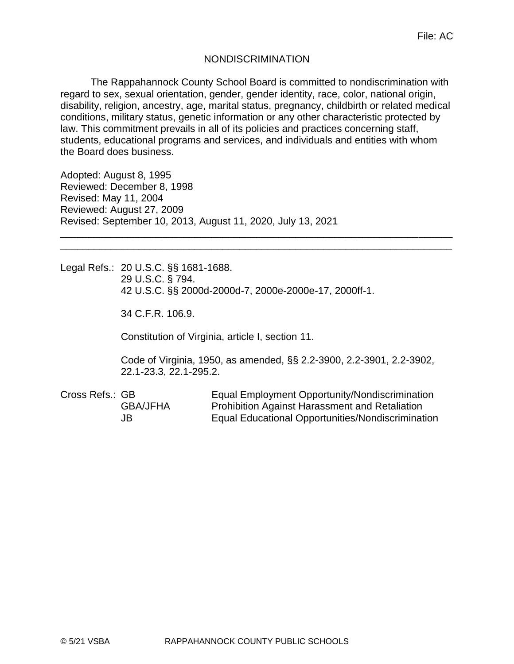#### NONDISCRIMINATION

The Rappahannock County School Board is committed to nondiscrimination with regard to sex, sexual orientation, gender, gender identity, race, color, national origin, disability, religion, ancestry, age, marital status, pregnancy, childbirth or related medical conditions, military status, genetic information or any other characteristic protected by law. This commitment prevails in all of its policies and practices concerning staff, students, educational programs and services, and individuals and entities with whom the Board does business.

\_\_\_\_\_\_\_\_\_\_\_\_\_\_\_\_\_\_\_\_\_\_\_\_\_\_\_\_\_\_\_\_\_\_\_\_\_\_\_\_\_\_\_\_\_\_\_\_\_\_\_\_\_\_\_\_\_\_\_\_\_\_\_\_\_\_\_\_\_\_ \_\_\_\_\_\_\_\_\_\_\_\_\_\_\_\_\_\_\_\_\_\_\_\_\_\_\_\_\_\_\_\_\_\_\_\_\_\_\_\_\_\_\_\_\_\_\_\_\_\_\_\_\_\_\_\_\_\_\_\_\_\_\_\_\_\_\_\_\_\_

Adopted: August 8, 1995 Reviewed: December 8, 1998 Revised: May 11, 2004 Reviewed: August 27, 2009 Revised: September 10, 2013, August 11, 2020, July 13, 2021

Legal Refs.: 20 U.S.C. §§ 1681-1688. 29 U.S.C. § 794. 42 U.S.C. §§ 2000d-2000d-7, 2000e-2000e-17, 2000ff-1.

34 C.F.R. 106.9.

Constitution of Virginia, article I, section 11.

Code of Virginia, 1950, as amended, §§ 2.2-3900, 2.2-3901, 2.2-3902, 22.1-23.3, 22.1-295.2.

Cross Refs.: GB Equal Employment Opportunity/Nondiscrimination GBA/JFHA Prohibition Against Harassment and Retaliation JB Equal Educational Opportunities/Nondiscrimination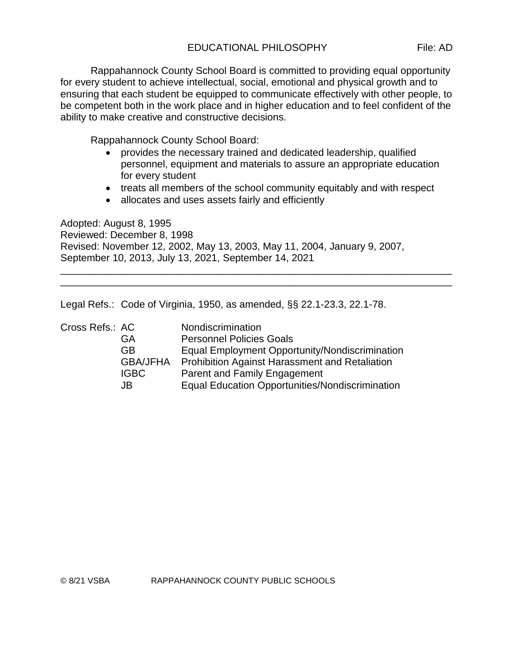Rappahannock County School Board is committed to providing equal opportunity for every student to achieve intellectual, social, emotional and physical growth and to ensuring that each student be equipped to communicate effectively with other people, to be competent both in the work place and in higher education and to feel confident of the ability to make creative and constructive decisions.

Rappahannock County School Board:

- provides the necessary trained and dedicated leadership, qualified personnel, equipment and materials to assure an appropriate education for every student
- treats all members of the school community equitably and with respect
- allocates and uses assets fairly and efficiently

Adopted: August 8, 1995 Reviewed: December 8, 1998 Revised: November 12, 2002, May 13, 2003, May 11, 2004, January 9, 2007, September 10, 2013, July 13, 2021, September 14, 2021 \_\_\_\_\_\_\_\_\_\_\_\_\_\_\_\_\_\_\_\_\_\_\_\_\_\_\_\_\_\_\_\_\_\_\_\_\_\_\_\_\_\_\_\_\_\_\_\_\_\_\_\_\_\_\_\_\_\_\_\_\_\_\_\_\_\_\_\_\_\_

\_\_\_\_\_\_\_\_\_\_\_\_\_\_\_\_\_\_\_\_\_\_\_\_\_\_\_\_\_\_\_\_\_\_\_\_\_\_\_\_\_\_\_\_\_\_\_\_\_\_\_\_\_\_\_\_\_\_\_\_\_\_\_\_\_\_\_\_\_\_

Legal Refs.: Code of Virginia, 1950, as amended, §§ 22.1-23.3, 22.1-78.

| Cross Refs.: AC |                 | Nondiscrimination                                      |
|-----------------|-----------------|--------------------------------------------------------|
|                 | GA              | <b>Personnel Policies Goals</b>                        |
|                 | <b>GB</b>       | Equal Employment Opportunity/Nondiscrimination         |
|                 | <b>GBA/JFHA</b> | <b>Prohibition Against Harassment and Retaliation</b>  |
|                 | <b>IGBC</b>     | Parent and Family Engagement                           |
|                 | JB              | <b>Equal Education Opportunities/Nondiscrimination</b> |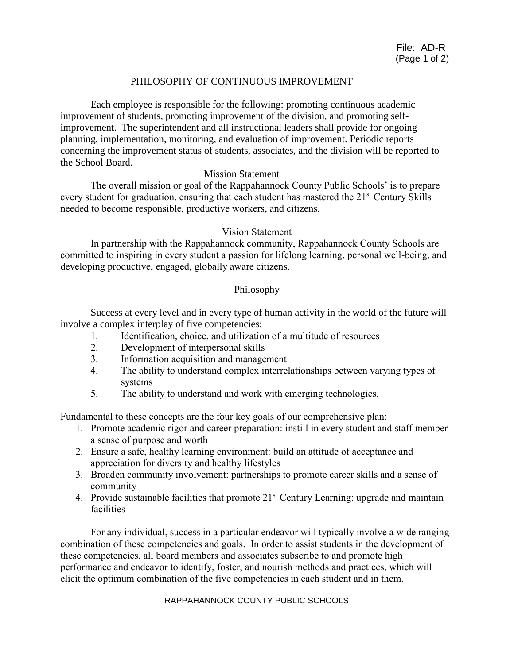#### PHILOSOPHY OF CONTINUOUS IMPROVEMENT

Each employee is responsible for the following: promoting continuous academic improvement of students, promoting improvement of the division, and promoting selfimprovement. The superintendent and all instructional leaders shall provide for ongoing planning, implementation, monitoring, and evaluation of improvement. Periodic reports concerning the improvement status of students, associates, and the division will be reported to the School Board.

#### Mission Statement

The overall mission or goal of the Rappahannock County Public Schools' is to prepare every student for graduation, ensuring that each student has mastered the 21<sup>st</sup> Century Skills needed to become responsible, productive workers, and citizens.

#### Vision Statement

In partnership with the Rappahannock community, Rappahannock County Schools are committed to inspiring in every student a passion for lifelong learning, personal well-being, and developing productive, engaged, globally aware citizens.

#### Philosophy

Success at every level and in every type of human activity in the world of the future will involve a complex interplay of five competencies:

- 1. Identification, choice, and utilization of a multitude of resources
- 2. Development of interpersonal skills
- 3. Information acquisition and management
- 4. The ability to understand complex interrelationships between varying types of systems
- 5. The ability to understand and work with emerging technologies.

Fundamental to these concepts are the four key goals of our comprehensive plan:

- 1. Promote academic rigor and career preparation: instill in every student and staff member a sense of purpose and worth
- 2. Ensure a safe, healthy learning environment: build an attitude of acceptance and appreciation for diversity and healthy lifestyles
- 3. Broaden community involvement: partnerships to promote career skills and a sense of community
- 4. Provide sustainable facilities that promote  $21<sup>st</sup>$  Century Learning: upgrade and maintain facilities

For any individual, success in a particular endeavor will typically involve a wide ranging combination of these competencies and goals. In order to assist students in the development of these competencies, all board members and associates subscribe to and promote high performance and endeavor to identify, foster, and nourish methods and practices, which will elicit the optimum combination of the five competencies in each student and in them.

#### RAPPAHANNOCK COUNTY PUBLIC SCHOOLS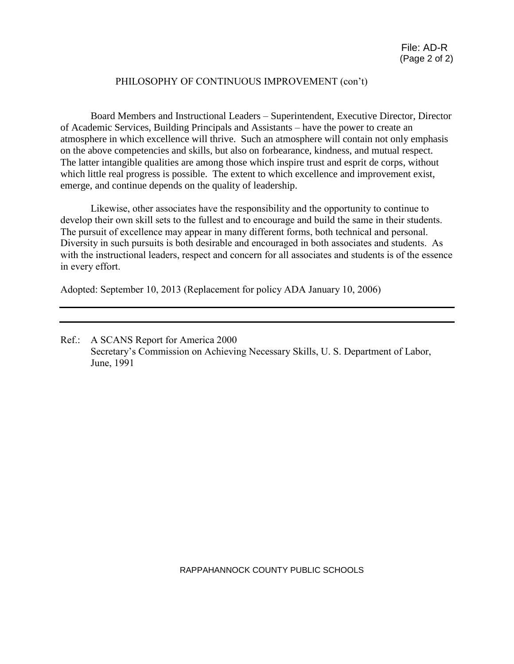#### PHILOSOPHY OF CONTINUOUS IMPROVEMENT (con't)

Board Members and Instructional Leaders – Superintendent, Executive Director, Director of Academic Services, Building Principals and Assistants – have the power to create an atmosphere in which excellence will thrive. Such an atmosphere will contain not only emphasis on the above competencies and skills, but also on forbearance, kindness, and mutual respect. The latter intangible qualities are among those which inspire trust and esprit de corps, without which little real progress is possible. The extent to which excellence and improvement exist, emerge, and continue depends on the quality of leadership.

Likewise, other associates have the responsibility and the opportunity to continue to develop their own skill sets to the fullest and to encourage and build the same in their students. The pursuit of excellence may appear in many different forms, both technical and personal. Diversity in such pursuits is both desirable and encouraged in both associates and students. As with the instructional leaders, respect and concern for all associates and students is of the essence in every effort.

Adopted: September 10, 2013 (Replacement for policy ADA January 10, 2006)

Ref.: A SCANS Report for America 2000 Secretary's Commission on Achieving Necessary Skills, U. S. Department of Labor, June, 1991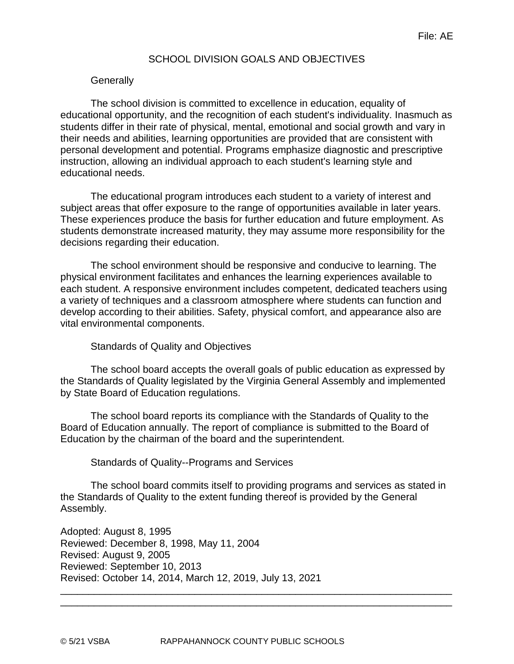### SCHOOL DIVISION GOALS AND OBJECTIVES

#### **Generally**

The school division is committed to excellence in education, equality of educational opportunity, and the recognition of each student's individuality. Inasmuch as students differ in their rate of physical, mental, emotional and social growth and vary in their needs and abilities, learning opportunities are provided that are consistent with personal development and potential. Programs emphasize diagnostic and prescriptive instruction, allowing an individual approach to each student's learning style and educational needs.

The educational program introduces each student to a variety of interest and subject areas that offer exposure to the range of opportunities available in later years. These experiences produce the basis for further education and future employment. As students demonstrate increased maturity, they may assume more responsibility for the decisions regarding their education.

The school environment should be responsive and conducive to learning. The physical environment facilitates and enhances the learning experiences available to each student. A responsive environment includes competent, dedicated teachers using a variety of techniques and a classroom atmosphere where students can function and develop according to their abilities. Safety, physical comfort, and appearance also are vital environmental components.

#### Standards of Quality and Objectives

The school board accepts the overall goals of public education as expressed by the Standards of Quality legislated by the Virginia General Assembly and implemented by State Board of Education regulations.

The school board reports its compliance with the Standards of Quality to the Board of Education annually. The report of compliance is submitted to the Board of Education by the chairman of the board and the superintendent.

Standards of Quality--Programs and Services

The school board commits itself to providing programs and services as stated in the Standards of Quality to the extent funding thereof is provided by the General Assembly.

\_\_\_\_\_\_\_\_\_\_\_\_\_\_\_\_\_\_\_\_\_\_\_\_\_\_\_\_\_\_\_\_\_\_\_\_\_\_\_\_\_\_\_\_\_\_\_\_\_\_\_\_\_\_\_\_\_\_\_\_\_\_\_\_\_\_\_\_\_\_ \_\_\_\_\_\_\_\_\_\_\_\_\_\_\_\_\_\_\_\_\_\_\_\_\_\_\_\_\_\_\_\_\_\_\_\_\_\_\_\_\_\_\_\_\_\_\_\_\_\_\_\_\_\_\_\_\_\_\_\_\_\_\_\_\_\_\_\_\_\_

Adopted: August 8, 1995 Reviewed: December 8, 1998, May 11, 2004 Revised: August 9, 2005 Reviewed: September 10, 2013 Revised: October 14, 2014, March 12, 2019, July 13, 2021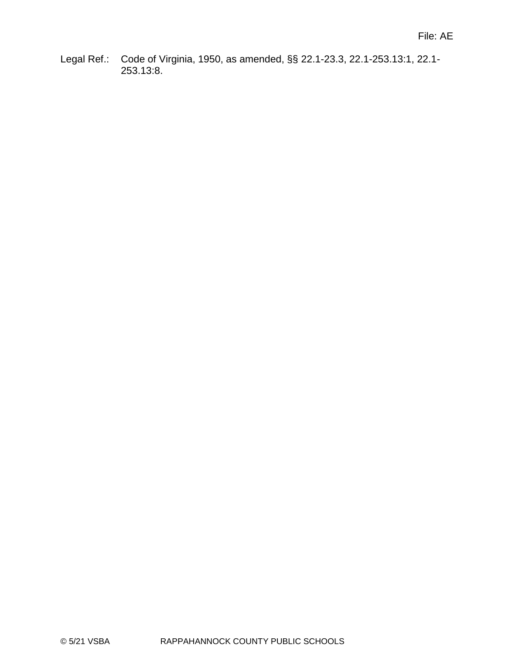Legal Ref.: Code of Virginia, 1950, as amended, §§ 22.1-23.3, 22.1-253.13:1, 22.1- 253.13:8.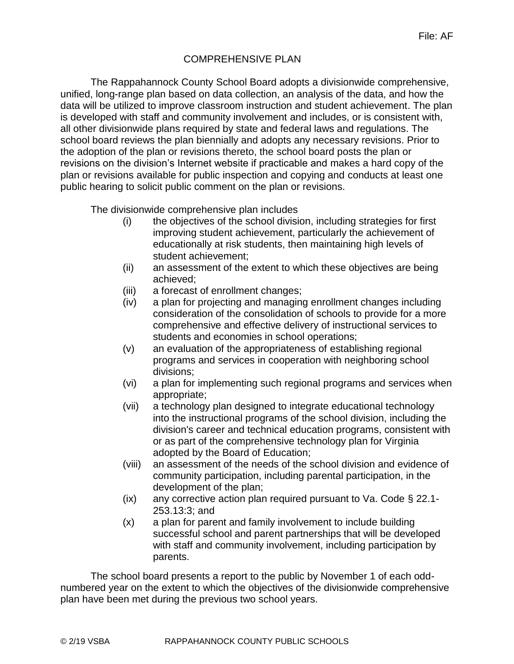# COMPREHENSIVE PLAN

The Rappahannock County School Board adopts a divisionwide comprehensive, unified, long-range plan based on data collection, an analysis of the data, and how the data will be utilized to improve classroom instruction and student achievement. The plan is developed with staff and community involvement and includes, or is consistent with, all other divisionwide plans required by state and federal laws and regulations. The school board reviews the plan biennially and adopts any necessary revisions. Prior to the adoption of the plan or revisions thereto, the school board posts the plan or revisions on the division's Internet website if practicable and makes a hard copy of the plan or revisions available for public inspection and copying and conducts at least one public hearing to solicit public comment on the plan or revisions.

The divisionwide comprehensive plan includes

- (i) the objectives of the school division, including strategies for first improving student achievement, particularly the achievement of educationally at risk students, then maintaining high levels of student achievement;
- (ii) an assessment of the extent to which these objectives are being achieved;
- (iii) a forecast of enrollment changes;
- (iv) a plan for projecting and managing enrollment changes including consideration of the consolidation of schools to provide for a more comprehensive and effective delivery of instructional services to students and economies in school operations;
- (v) an evaluation of the appropriateness of establishing regional programs and services in cooperation with neighboring school divisions;
- (vi) a plan for implementing such regional programs and services when appropriate;
- (vii) a technology plan designed to integrate educational technology into the instructional programs of the school division, including the division's career and technical education programs, consistent with or as part of the comprehensive technology plan for Virginia adopted by the Board of Education;
- (viii) an assessment of the needs of the school division and evidence of community participation, including parental participation, in the development of the plan;
- (ix) any corrective action plan required pursuant to Va. Code § 22.1- 253.13:3; and
- (x) a plan for parent and family involvement to include building successful school and parent partnerships that will be developed with staff and community involvement, including participation by parents.

The school board presents a report to the public by November 1 of each oddnumbered year on the extent to which the objectives of the divisionwide comprehensive plan have been met during the previous two school years.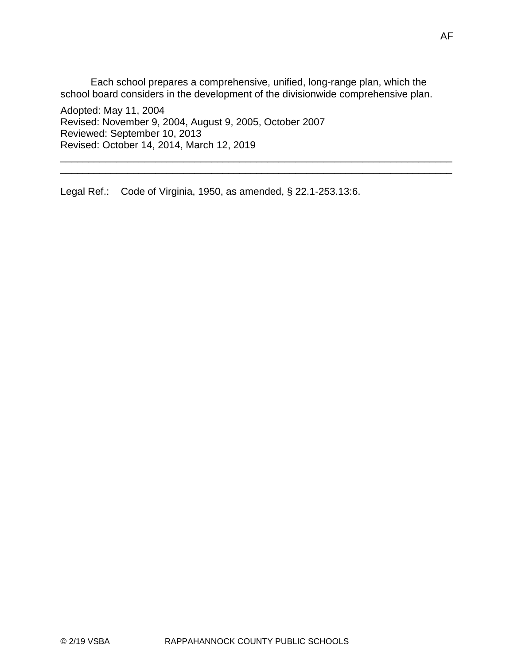Each school prepares a comprehensive, unified, long-range plan, which the school board considers in the development of the divisionwide comprehensive plan.

\_\_\_\_\_\_\_\_\_\_\_\_\_\_\_\_\_\_\_\_\_\_\_\_\_\_\_\_\_\_\_\_\_\_\_\_\_\_\_\_\_\_\_\_\_\_\_\_\_\_\_\_\_\_\_\_\_\_\_\_\_\_\_\_\_\_\_\_\_\_ \_\_\_\_\_\_\_\_\_\_\_\_\_\_\_\_\_\_\_\_\_\_\_\_\_\_\_\_\_\_\_\_\_\_\_\_\_\_\_\_\_\_\_\_\_\_\_\_\_\_\_\_\_\_\_\_\_\_\_\_\_\_\_\_\_\_\_\_\_\_

Adopted: May 11, 2004 Revised: November 9, 2004, August 9, 2005, October 2007 Reviewed: September 10, 2013 Revised: October 14, 2014, March 12, 2019

Legal Ref.: Code of Virginia, 1950, as amended, § 22.1-253.13:6.